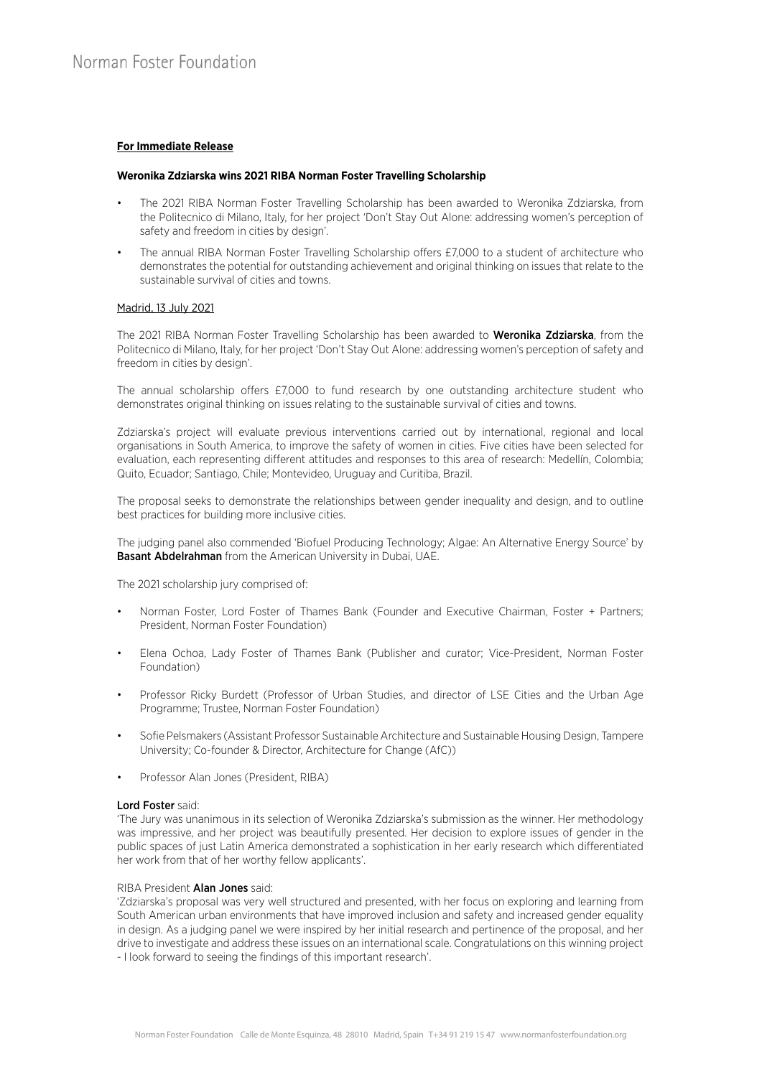# **For Immediate Release**

## **Weronika Zdziarska wins 2021 RIBA Norman Foster Travelling Scholarship**

- The 2021 RIBA Norman Foster Travelling Scholarship has been awarded to Weronika Zdziarska, from the Politecnico di Milano, Italy, for her project 'Don't Stay Out Alone: addressing women's perception of safety and freedom in cities by design'.
- The annual RIBA Norman Foster Travelling Scholarship offers £7,000 to a student of architecture who demonstrates the potential for outstanding achievement and original thinking on issues that relate to the sustainable survival of cities and towns.

# Madrid, 13 July 2021

The 2021 RIBA Norman Foster Travelling Scholarship has been awarded to Weronika Zdziarska, from the Politecnico di Milano, Italy, for her project 'Don't Stay Out Alone: addressing women's perception of safety and freedom in cities by design'.

The annual scholarship offers £7,000 to fund research by one outstanding architecture student who demonstrates original thinking on issues relating to the sustainable survival of cities and towns.

Zdziarska's project will evaluate previous interventions carried out by international, regional and local organisations in South America, to improve the safety of women in cities. Five cities have been selected for evaluation, each representing different attitudes and responses to this area of research: Medellín, Colombia; Quito, Ecuador; Santiago, Chile; Montevideo, Uruguay and Curitiba, Brazil.

The proposal seeks to demonstrate the relationships between gender inequality and design, and to outline best practices for building more inclusive cities.

The judging panel also commended 'Biofuel Producing Technology; Algae: An Alternative Energy Source' by **Basant Abdelrahman** from the American University in Dubai, UAE.

The 2021 scholarship jury comprised of:

- Norman Foster, Lord Foster of Thames Bank (Founder and Executive Chairman, Foster + Partners; President, Norman Foster Foundation)
- Elena Ochoa, Lady Foster of Thames Bank (Publisher and curator; Vice-President, Norman Foster Foundation)
- Professor Ricky Burdett (Professor of Urban Studies, and director of LSE Cities and the Urban Age Programme; Trustee, Norman Foster Foundation)
- Sofie Pelsmakers (Assistant Professor Sustainable Architecture and Sustainable Housing Design, Tampere University; Co-founder & Director, Architecture for Change (AfC))
- Professor Alan Jones (President, RIBA)

#### Lord Foster said:

'The Jury was unanimous in its selection of Weronika Zdziarska's submission as the winner. Her methodology was impressive, and her project was beautifully presented. Her decision to explore issues of gender in the public spaces of just Latin America demonstrated a sophistication in her early research which differentiated her work from that of her worthy fellow applicants'.

#### RIBA President Alan Jones said:

'Zdziarska's proposal was very well structured and presented, with her focus on exploring and learning from South American urban environments that have improved inclusion and safety and increased gender equality in design. As a judging panel we were inspired by her initial research and pertinence of the proposal, and her drive to investigate and address these issues on an international scale. Congratulations on this winning project - I look forward to seeing the findings of this important research'.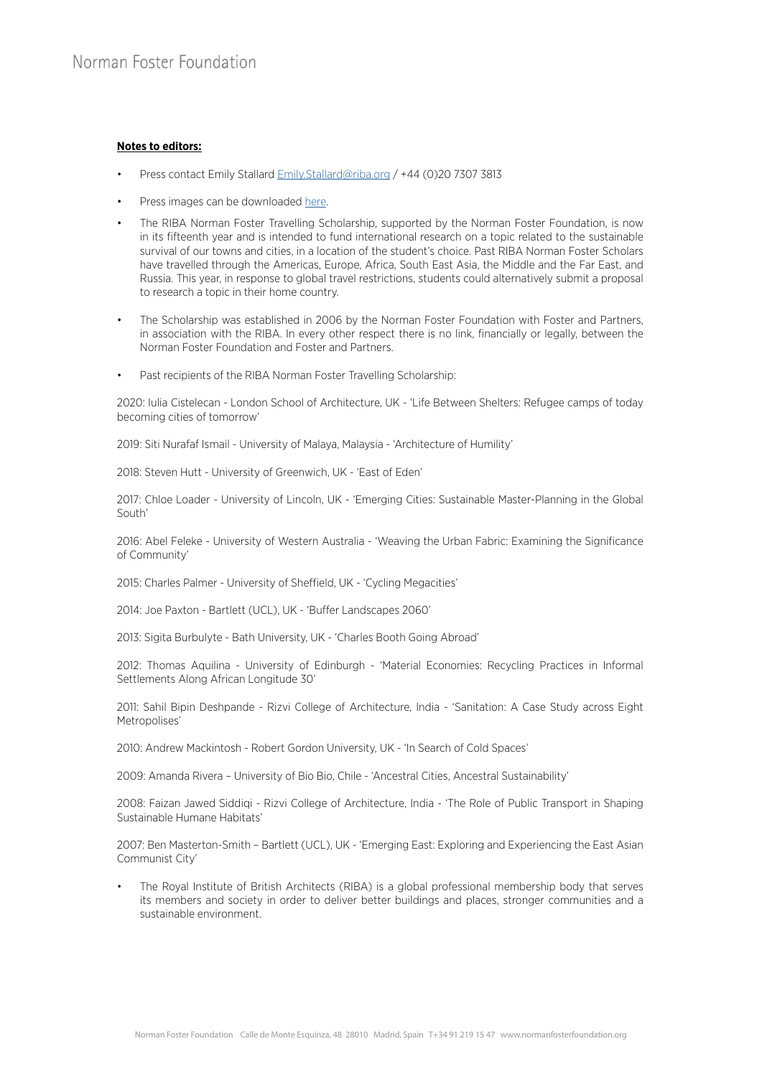# **Notes to editors:**

- Press contact Emily Stallard [Emily.Stallard@riba.org](http://Emily.Stallard@riba.org) / +44 (0)20 7307 3813
- Press images can be downloaded [here.](https://riba.app.box.com/s/afvmjupw0u4e6ip6z7tkmxh5ojfb9eb4)
- The RIBA Norman Foster Travelling Scholarship, supported by the Norman Foster Foundation, is now in its fifteenth year and is intended to fund international research on a topic related to the sustainable survival of our towns and cities, in a location of the student's choice. Past RIBA Norman Foster Scholars have travelled through the Americas, Europe, Africa, South East Asia, the Middle and the Far East, and Russia. This year, in response to global travel restrictions, students could alternatively submit a proposal to research a topic in their home country.
- The Scholarship was established in 2006 by the Norman Foster Foundation with Foster and Partners, in association with the RIBA. In every other respect there is no link, financially or legally, between the Norman Foster Foundation and Foster and Partners.
- Past recipients of the RIBA Norman Foster Travelling Scholarship:

2020: Iulia Cistelecan - London School of Architecture, UK - 'Life Between Shelters: Refugee camps of today becoming cities of tomorrow'

2019: Siti Nurafaf Ismail - University of Malaya, Malaysia - 'Architecture of Humility'

2018: Steven Hutt - University of Greenwich, UK - 'East of Eden'

2017: Chloe Loader - University of Lincoln, UK - 'Emerging Cities: Sustainable Master-Planning in the Global South'

2016: Abel Feleke - University of Western Australia - 'Weaving the Urban Fabric: Examining the Significance of Community'

2015: Charles Palmer - University of Sheffield, UK - 'Cycling Megacities'

2014: Joe Paxton - Bartlett (UCL), UK - 'Buffer Landscapes 2060'

2013: Sigita Burbulyte - Bath University, UK - 'Charles Booth Going Abroad'

2012: Thomas Aquilina - University of Edinburgh - 'Material Economies: Recycling Practices in Informal Settlements Along African Longitude 30'

2011: Sahil Bipin Deshpande - Rizvi College of Architecture, India - 'Sanitation: A Case Study across Eight Metropolises'

2010: Andrew Mackintosh - Robert Gordon University, UK - 'In Search of Cold Spaces'

2009: Amanda Rivera – University of Bio Bio, Chile - 'Ancestral Cities, Ancestral Sustainability'

2008: Faizan Jawed Siddiqi - Rizvi College of Architecture, India - 'The Role of Public Transport in Shaping Sustainable Humane Habitats'

2007: Ben Masterton-Smith – Bartlett (UCL), UK - 'Emerging East: Exploring and Experiencing the East Asian Communist City'

• The Royal Institute of British Architects (RIBA) is a global professional membership body that serves its members and society in order to deliver better buildings and places, stronger communities and a sustainable environment.